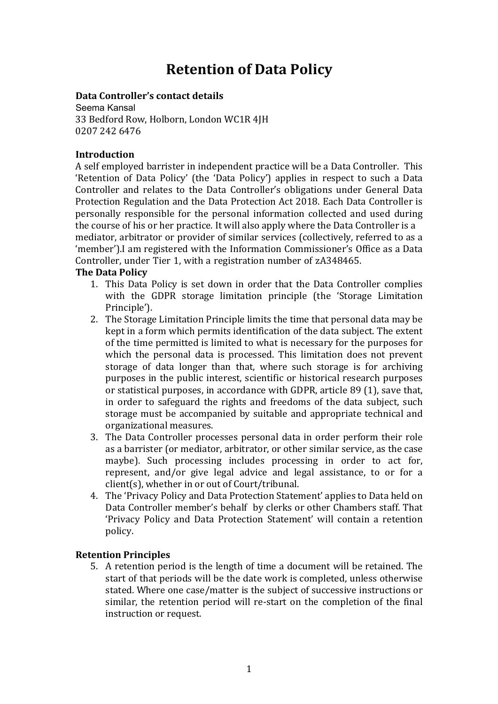# **Retention of Data Policy**

### **Data Controller's contact detail**

 Seema Kansal 33 Bedford Row, Holborn, London WC1R 4JH 0207 242 6476

#### **Introduction**

 A self employed barrister in independent practice will be a Data Controller. This Controller and relates to the Data Controller's obligations under General Data Protection Regulation and the Data Protection Act 2018. Each Data Controller i personally responsible for the personal information collected and used durin mediator, arbitrator or provider of similar services (collectively, referred to as 'Retention of Data Policy' (the 'Data Policy') applies in respect to such a Data the course of his or her practice. It will also apply where the Data Controller is a 'member').I am registered with the Information Commissioner's Office as a Data Controller, under Tier 1, with a registration number of zA348465.

### **The Data Policy**

- 1. This Data Policy is set down in order that the Data Controller complies with the GDPR storage limitation principle (the 'Storage Limitation Principle').
- 2. The Storage Limitation Principle limits the time that personal data may be kept in a form which permits identification of the data subject. The extent of the time permitted is limited to what is necessary for the purposes for which the personal data is processed. This limitation does not prevent storage of data longer than that, where such storage is for archiving purposes in the public interest, scientific or historical research purposes or statistical purposes, in accordance with GDPR, article 89 (1), save that, in order to safeguard the rights and freedoms of the data subject, such storage must be accompanied by suitable and appropriate technical and organizational measures.
- 3. The Data Controller processes personal data in order perform their role as a barrister (or mediator, arbitrator, or other similar service, as the case maybe). Such processing includes processing in order to act for, represent, and/or give legal advice and legal assistance, to or for a  $client(s)$ , whether in or out of Court/tribunal.
- 4. The 'Privacy Policy and Data Protection Statement' applies to Data held on Data Controller member's behalf by clerks or other Chambers staff. That 'Privacy Policy and Data Protection Statement' will contain a retention policy.

# **Retention Principles**

5. A retention period is the length of time a document will be retained. The start of that periods will be the date work is completed, unless otherwise stated. Where one case/matter is the subject of successive instructions or similar, the retention period will re-start on the completion of the final instruction or request.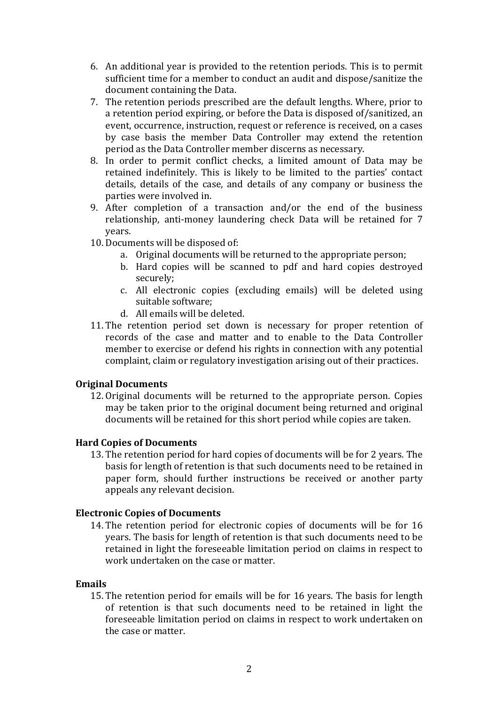- 6. An additional year is provided to the retention periods. This is to permit sufficient time for a member to conduct an audit and dispose/sanitize the document containing the Data.
- 7. The retention periods prescribed are the default lengths. Where, prior to a retention period expiring, or before the Data is disposed of/sanitized, an event, occurrence, instruction, request or reference is received, on a cases by case basis the member Data Controller may extend the retention period as the Data Controller member discerns as necessary.
- 8. In order to permit conflict checks, a limited amount of Data may be retained indefinitely. This is likely to be limited to the parties' contact details, details of the case, and details of any company or business the parties were involved in.
- 9. After completion of a transaction and/or the end of the business relationship, anti-money laundering check Data will be retained for 7 years.
- 10. Documents will be disposed of:
	- a. Original documents will be returned to the appropriate person;
	- b. Hard copies will be scanned to pdf and hard copies destroyed securely;
	- c. All electronic copies (excluding emails) will be deleted using suitable software:
	- d. All emails will be deleted.
- 11. The retention period set down is necessary for proper retention of records of the case and matter and to enable to the Data Controller member to exercise or defend his rights in connection with any potential complaint, claim or regulatory investigation arising out of their practices.

# **Original Documents**

12. Original documents will be returned to the appropriate person. Copies may be taken prior to the original document being returned and original documents will be retained for this short period while copies are taken.

# **Hard Copies of Documents**

13. The retention period for hard copies of documents will be for 2 years. The basis for length of retention is that such documents need to be retained in paper form, should further instructions be received or another party appeals any relevant decision.

# **Electronic Copies of Documents**

14. The retention period for electronic copies of documents will be for 16 years. The basis for length of retention is that such documents need to be retained in light the foreseeable limitation period on claims in respect to work undertaken on the case or matter.

# **Emails**

15. The retention period for emails will be for 16 years. The basis for length of retention is that such documents need to be retained in light the foreseeable limitation period on claims in respect to work undertaken on the case or matter.